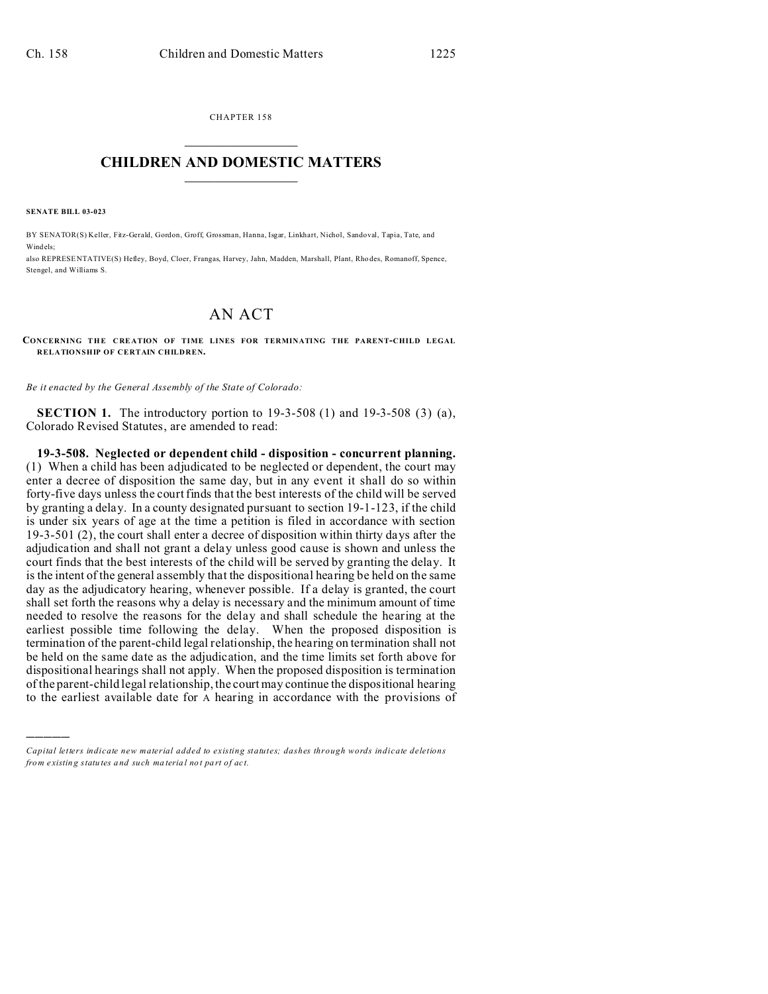CHAPTER 158  $\overline{\phantom{a}}$  , where  $\overline{\phantom{a}}$ 

## **CHILDREN AND DOMESTIC MATTERS**  $\_$

**SENATE BILL 03-023**

)))))

BY SENATOR(S) Keller, Fitz-Gerald, Gordon, Groff, Grossman, Hanna, Isgar, Linkhart, Nichol, Sandoval, Tapia, Tate, and Windels;

also REPRESE NTATIVE(S) Hefley, Boyd, Cloer, Frangas, Harvey, Jahn, Madden, Marshall, Plant, Rho des, Romanoff, Spence, Stengel, and Williams S.

## AN ACT

**CONCERNING THE CRE ATION OF TIME LINES FOR TERMINATING THE PARENT-CHILD LEGAL RELATIONSHIP OF CERTAIN CHILDREN.**

*Be it enacted by the General Assembly of the State of Colorado:*

**SECTION 1.** The introductory portion to 19-3-508 (1) and 19-3-508 (3) (a), Colorado Revised Statutes, are amended to read:

**19-3-508. Neglected or dependent child - disposition - concurrent planning.** (1) When a child has been adjudicated to be neglected or dependent, the court may enter a decree of disposition the same day, but in any event it shall do so within forty-five days unless the court finds that the best interests of the child will be served by granting a delay. In a county designated pursuant to section 19-1-123, if the child is under six years of age at the time a petition is filed in accordance with section 19-3-501 (2), the court shall enter a decree of disposition within thirty days after the adjudication and shall not grant a delay unless good cause is shown and unless the court finds that the best interests of the child will be served by granting the delay. It is the intent of the general assembly that the dispositional hearing be held on the same day as the adjudicatory hearing, whenever possible. If a delay is granted, the court shall set forth the reasons why a delay is necessary and the minimum amount of time needed to resolve the reasons for the delay and shall schedule the hearing at the earliest possible time following the delay. When the proposed disposition is termination of the parent-child legal relationship, the hearing on termination shall not be held on the same date as the adjudication, and the time limits set forth above for dispositional hearings shall not apply. When the proposed disposition is termination of the parent-child legal relationship, the court may continue the dispositional hearing to the earliest available date for A hearing in accordance with the provisions of

*Capital letters indicate new material added to existing statutes; dashes through words indicate deletions from e xistin g statu tes a nd such ma teria l no t pa rt of ac t.*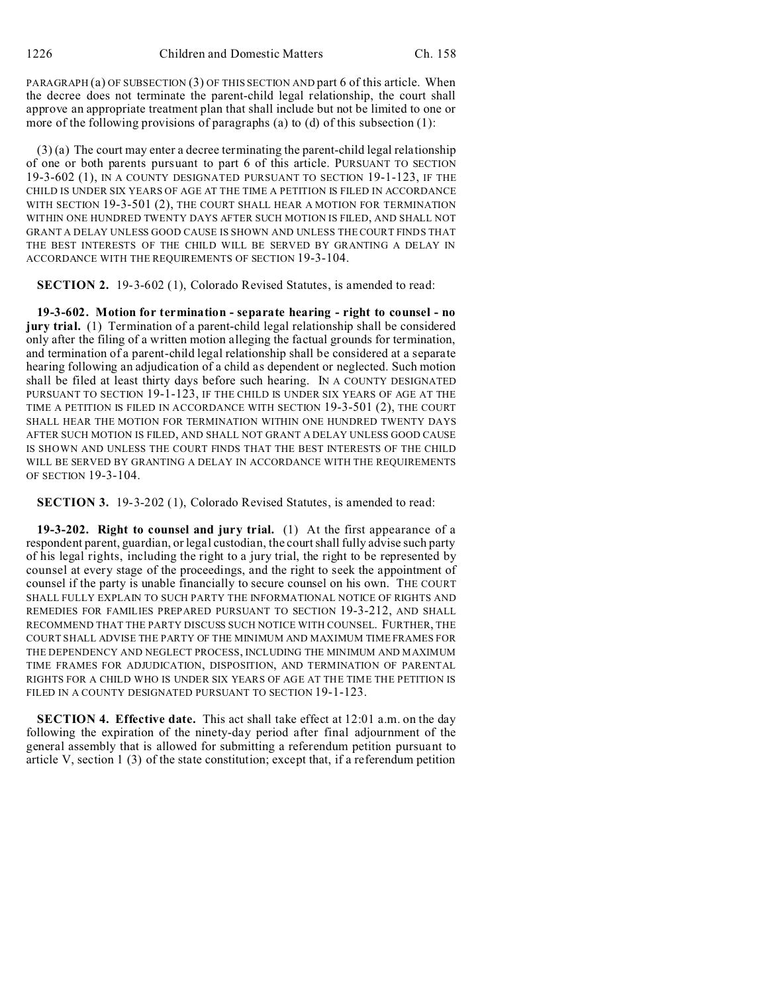PARAGRAPH (a) OF SUBSECTION (3) OF THIS SECTION AND part 6 of this article. When the decree does not terminate the parent-child legal relationship, the court shall approve an appropriate treatment plan that shall include but not be limited to one or more of the following provisions of paragraphs (a) to (d) of this subsection (1):

(3) (a) The court may enter a decree terminating the parent-child legal relationship of one or both parents pursuant to part 6 of this article. PURSUANT TO SECTION 19-3-602 (1), IN A COUNTY DESIGNATED PURSUANT TO SECTION 19-1-123, IF THE CHILD IS UNDER SIX YEARS OF AGE AT THE TIME A PETITION IS FILED IN ACCORDANCE WITH SECTION 19-3-501 (2), THE COURT SHALL HEAR A MOTION FOR TERMINATION WITHIN ONE HUNDRED TWENTY DAYS AFTER SUCH MOTION IS FILED, AND SHALL NOT GRANT A DELAY UNLESS GOOD CAUSE IS SHOWN AND UNLESS THE COURT FINDS THAT THE BEST INTERESTS OF THE CHILD WILL BE SERVED BY GRANTING A DELAY IN ACCORDANCE WITH THE REQUIREMENTS OF SECTION 19-3-104.

**SECTION 2.** 19-3-602 (1), Colorado Revised Statutes, is amended to read:

**19-3-602. Motion for termination - separate hearing - right to counsel - no jury trial.** (1) Termination of a parent-child legal relationship shall be considered only after the filing of a written motion alleging the factual grounds for termination, and termination of a parent-child legal relationship shall be considered at a separate hearing following an adjudication of a child as dependent or neglected. Such motion shall be filed at least thirty days before such hearing. IN A COUNTY DESIGNATED PURSUANT TO SECTION 19-1-123, IF THE CHILD IS UNDER SIX YEARS OF AGE AT THE TIME A PETITION IS FILED IN ACCORDANCE WITH SECTION 19-3-501 (2), THE COURT SHALL HEAR THE MOTION FOR TERMINATION WITHIN ONE HUNDRED TWENTY DAYS AFTER SUCH MOTION IS FILED, AND SHALL NOT GRANT A DELAY UNLESS GOOD CAUSE IS SHOWN AND UNLESS THE COURT FINDS THAT THE BEST INTERESTS OF THE CHILD WILL BE SERVED BY GRANTING A DELAY IN ACCORDANCE WITH THE REQUIREMENTS OF SECTION 19-3-104.

**SECTION 3.** 19-3-202 (1), Colorado Revised Statutes, is amended to read:

**19-3-202. Right to counsel and jury trial.** (1) At the first appearance of a respondent parent, guardian, or legal custodian, the court shall fully advise such party of his legal rights, including the right to a jury trial, the right to be represented by counsel at every stage of the proceedings, and the right to seek the appointment of counsel if the party is unable financially to secure counsel on his own. THE COURT SHALL FULLY EXPLAIN TO SUCH PARTY THE INFORMATIONAL NOTICE OF RIGHTS AND REMEDIES FOR FAMILIES PREPARED PURSUANT TO SECTION 19-3-212, AND SHALL RECOMMEND THAT THE PARTY DISCUSS SUCH NOTICE WITH COUNSEL. FURTHER, THE COURT SHALL ADVISE THE PARTY OF THE MINIMUM AND MAXIMUM TIME FRAMES FOR THE DEPENDENCY AND NEGLECT PROCESS, INCLUDING THE MINIMUM AND MAXIMUM TIME FRAMES FOR ADJUDICATION, DISPOSITION, AND TERMINATION OF PARENTAL RIGHTS FOR A CHILD WHO IS UNDER SIX YEARS OF AGE AT THE TIME THE PETITION IS FILED IN A COUNTY DESIGNATED PURSUANT TO SECTION 19-1-123.

**SECTION 4. Effective date.** This act shall take effect at 12:01 a.m. on the day following the expiration of the ninety-day period after final adjournment of the general assembly that is allowed for submitting a referendum petition pursuant to article V, section 1 (3) of the state constitution; except that, if a referendum petition